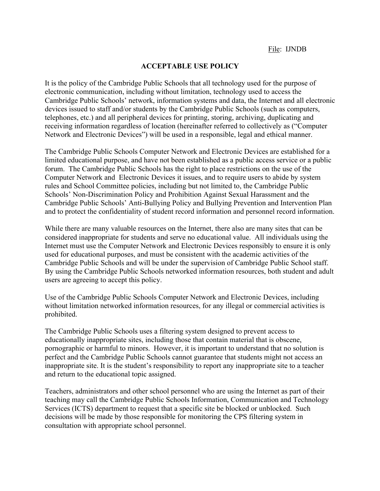## **ACCEPTABLE USE POLICY**

It is the policy of the Cambridge Public Schools that all technology used for the purpose of electronic communication, including without limitation, technology used to access the Cambridge Public Schools' network, information systems and data, the Internet and all electronic devices issued to staff and/or students by the Cambridge Public Schools (such as computers, telephones, etc.) and all peripheral devices for printing, storing, archiving, duplicating and receiving information regardless of location (hereinafter referred to collectively as ("Computer Network and Electronic Devices") will be used in a responsible, legal and ethical manner.

The Cambridge Public Schools Computer Network and Electronic Devices are established for a limited educational purpose, and have not been established as a public access service or a public forum. The Cambridge Public Schools has the right to place restrictions on the use of the Computer Network and Electronic Devices it issues, and to require users to abide by system rules and School Committee policies, including but not limited to, the Cambridge Public Schools' Non-Discrimination Policy and Prohibition Against Sexual Harassment and the Cambridge Public Schools' Anti-Bullying Policy and Bullying Prevention and Intervention Plan and to protect the confidentiality of student record information and personnel record information.

While there are many valuable resources on the Internet, there also are many sites that can be considered inappropriate for students and serve no educational value. All individuals using the Internet must use the Computer Network and Electronic Devices responsibly to ensure it is only used for educational purposes, and must be consistent with the academic activities of the Cambridge Public Schools and will be under the supervision of Cambridge Public School staff. By using the Cambridge Public Schools networked information resources, both student and adult users are agreeing to accept this policy.

Use of the Cambridge Public Schools Computer Network and Electronic Devices, including without limitation networked information resources, for any illegal or commercial activities is prohibited.

The Cambridge Public Schools uses a filtering system designed to prevent access to educationally inappropriate sites, including those that contain material that is obscene, pornographic or harmful to minors. However, it is important to understand that no solution is perfect and the Cambridge Public Schools cannot guarantee that students might not access an inappropriate site. It is the student's responsibility to report any inappropriate site to a teacher and return to the educational topic assigned.

Teachers, administrators and other school personnel who are using the Internet as part of their teaching may call the Cambridge Public Schools Information, Communication and Technology Services (ICTS) department to request that a specific site be blocked or unblocked. Such decisions will be made by those responsible for monitoring the CPS filtering system in consultation with appropriate school personnel.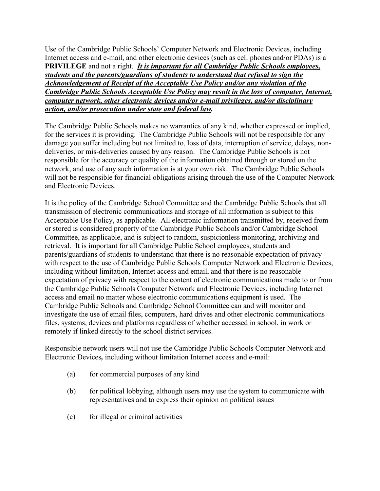Use of the Cambridge Public Schools' Computer Network and Electronic Devices, including Internet access and e-mail, and other electronic devices (such as cell phones and/or PDAs) is a **PRIVILEGE** and not a right. *It is important for all Cambridge Public Schools employees, students and the parents/guardians of students to understand that refusal to sign the Acknowledgement of Receipt of the Acceptable Use Policy and/or any violation of the Cambridge Public Schools Acceptable Use Policy may result in the loss of computer, Internet, computer network, other electronic devices and/or e-mail privileges, and/or disciplinary action, and/or prosecution under state and federal law.* 

The Cambridge Public Schools makes no warranties of any kind, whether expressed or implied, for the services it is providing. The Cambridge Public Schools will not be responsible for any damage you suffer including but not limited to, loss of data, interruption of service, delays, nondeliveries, or mis-deliveries caused by any reason. The Cambridge Public Schools is not responsible for the accuracy or quality of the information obtained through or stored on the network, and use of any such information is at your own risk. The Cambridge Public Schools will not be responsible for financial obligations arising through the use of the Computer Network and Electronic Devices.

It is the policy of the Cambridge School Committee and the Cambridge Public Schools that all transmission of electronic communications and storage of all information is subject to this Acceptable Use Policy, as applicable. All electronic information transmitted by, received from or stored is considered property of the Cambridge Public Schools and/or Cambridge School Committee, as applicable, and is subject to random, suspicionless monitoring, archiving and retrieval. It is important for all Cambridge Public School employees, students and parents/guardians of students to understand that there is no reasonable expectation of privacy with respect to the use of Cambridge Public Schools Computer Network and Electronic Devices, including without limitation, Internet access and email, and that there is no reasonable expectation of privacy with respect to the content of electronic communications made to or from the Cambridge Public Schools Computer Network and Electronic Devices, including Internet access and email no matter whose electronic communications equipment is used. The Cambridge Public Schools and Cambridge School Committee can and will monitor and investigate the use of email files, computers, hard drives and other electronic communications files, systems, devices and platforms regardless of whether accessed in school, in work or remotely if linked directly to the school district services.

Responsible network users will not use the Cambridge Public Schools Computer Network and Electronic Devices*,* including without limitation Internet access and e-mail:

- (a) for commercial purposes of any kind
- (b) for political lobbying, although users may use the system to communicate with representatives and to express their opinion on political issues
- (c) for illegal or criminal activities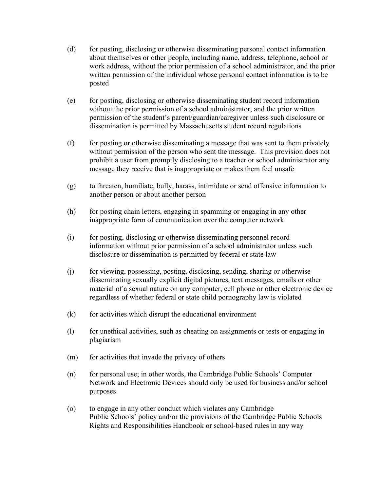- (d) for posting, disclosing or otherwise disseminating personal contact information about themselves or other people, including name, address, telephone, school or work address, without the prior permission of a school administrator, and the prior written permission of the individual whose personal contact information is to be posted
- (e) for posting, disclosing or otherwise disseminating student record information without the prior permission of a school administrator, and the prior written permission of the student's parent/guardian/caregiver unless such disclosure or dissemination is permitted by Massachusetts student record regulations
- (f) for posting or otherwise disseminating a message that was sent to them privately without permission of the person who sent the message. This provision does not prohibit a user from promptly disclosing to a teacher or school administrator any message they receive that is inappropriate or makes them feel unsafe
- (g) to threaten, humiliate, bully, harass, intimidate or send offensive information to another person or about another person
- (h) for posting chain letters, engaging in spamming or engaging in any other inappropriate form of communication over the computer network
- (i) for posting, disclosing or otherwise disseminating personnel record information without prior permission of a school administrator unless such disclosure or dissemination is permitted by federal or state law
- (j) for viewing, possessing, posting, disclosing, sending, sharing or otherwise disseminating sexually explicit digital pictures, text messages, emails or other material of a sexual nature on any computer, cell phone or other electronic device regardless of whether federal or state child pornography law is violated
- $(k)$  for activities which disrupt the educational environment
- (l) for unethical activities, such as cheating on assignments or tests or engaging in plagiarism
- $(m)$ for activities that invade the privacy of others
- (n) for personal use; in other words, the Cambridge Public Schools' Computer Network and Electronic Devices should only be used for business and/or school purposes
- (o) to engage in any other conduct which violates any Cambridge Public Schools' policy and/or the provisions of the Cambridge Public Schools Rights and Responsibilities Handbook or school-based rules in any way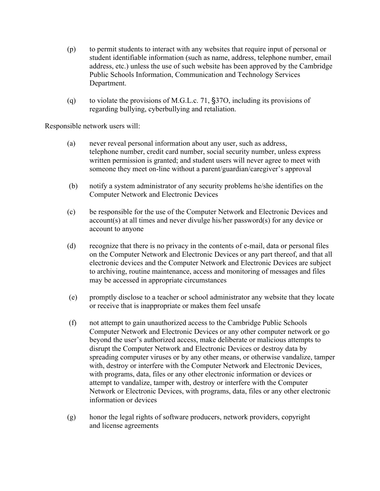- (p) to permit students to interact with any websites that require input of personal or student identifiable information (such as name, address, telephone number, email address, etc.) unless the use of such website has been approved by the Cambridge Public Schools Information, Communication and Technology Services Department.
- (q) to violate the provisions of M.G.L.c. 71,  $\S 370$ , including its provisions of regarding bullying, cyberbullying and retaliation.

Responsible network users will:

- (a) never reveal personal information about any user, such as address, telephone number, credit card number, social security number, unless express written permission is granted; and student users will never agree to meet with someone they meet on-line without a parent/guardian/caregiver's approval
- (b) notify a system administrator of any security problems he/she identifies on the Computer Network and Electronic Devices
- (c) be responsible for the use of the Computer Network and Electronic Devices and account(s) at all times and never divulge his/her password(s) for any device or account to anyone
- (d) recognize that there is no privacy in the contents of e-mail, data or personal files on the Computer Network and Electronic Devices or any part thereof, and that all electronic devices and the Computer Network and Electronic Devices are subject to archiving, routine maintenance, access and monitoring of messages and files may be accessed in appropriate circumstances
- (e) promptly disclose to a teacher or school administrator any website that they locate or receive that is inappropriate or makes them feel unsafe
- information or devices (f) not attempt to gain unauthorized access to the Cambridge Public Schools Computer Network and Electronic Devices or any other computer network or go beyond the user's authorized access, make deliberate or malicious attempts to disrupt the Computer Network and Electronic Devices or destroy data by spreading computer viruses or by any other means, or otherwise vandalize, tamper with, destroy or interfere with the Computer Network and Electronic Devices, with programs, data, files or any other electronic information or devices or attempt to vandalize, tamper with, destroy or interfere with the Computer Network or Electronic Devices, with programs, data, files or any other electronic
- $(g)$  honor the legal rights of software producers, network providers, copyright and license agreements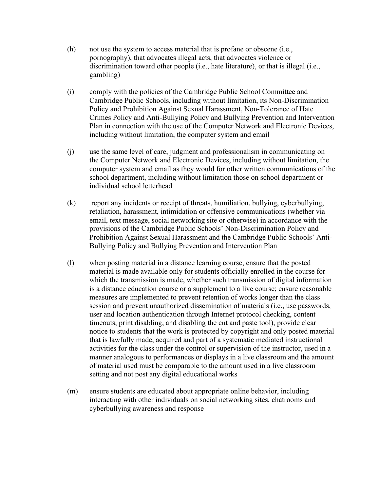- $(h)$  not use the system to access material that is profane or obscene (i.e., pornography), that advocates illegal acts, that advocates violence or discrimination toward other people (i.e., hate literature), or that is illegal (i.e., gambling)
- (i) comply with the policies of the Cambridge Public School Committee and Cambridge Public Schools, including without limitation, its Non-Discrimination Policy and Prohibition Against Sexual Harassment, Non-Tolerance of Hate Crimes Policy and Anti-Bullying Policy and Bullying Prevention and Intervention Plan in connection with the use of the Computer Network and Electronic Devices, including without limitation, the computer system and email
- (j) use the same level of care, judgment and professionalism in communicating on the Computer Network and Electronic Devices, including without limitation, the computer system and email as they would for other written communications of the school department, including without limitation those on school department or individual school letterhead
- (k) report any incidents or receipt of threats, humiliation, bullying, cyberbullying, retaliation, harassment, intimidation or offensive communications (whether via email, text message, social networking site or otherwise) in accordance with the provisions of the Cambridge Public Schools' Non-Discrimination Policy and Prohibition Against Sexual Harassment and the Cambridge Public Schools' Anti-Bullying Policy and Bullying Prevention and Intervention Plan
- (l) when posting material in a distance learning course, ensure that the posted material is made available only for students officially enrolled in the course for which the transmission is made, whether such transmission of digital information is a distance education course or a supplement to a live course; ensure reasonable measures are implemented to prevent retention of works longer than the class session and prevent unauthorized dissemination of materials (i.e., use passwords, user and location authentication through Internet protocol checking, content timeouts, print disabling, and disabling the cut and paste tool), provide clear notice to students that the work is protected by copyright and only posted material that is lawfully made, acquired and part of a systematic mediated instructional activities for the class under the control or supervision of the instructor, used in a manner analogous to performances or displays in a live classroom and the amount of material used must be comparable to the amount used in a live classroom setting and not post any digital educational works
- (m) ensure students are educated about appropriate online behavior, including interacting with other individuals on social networking sites, chatrooms and cyberbullying awareness and response